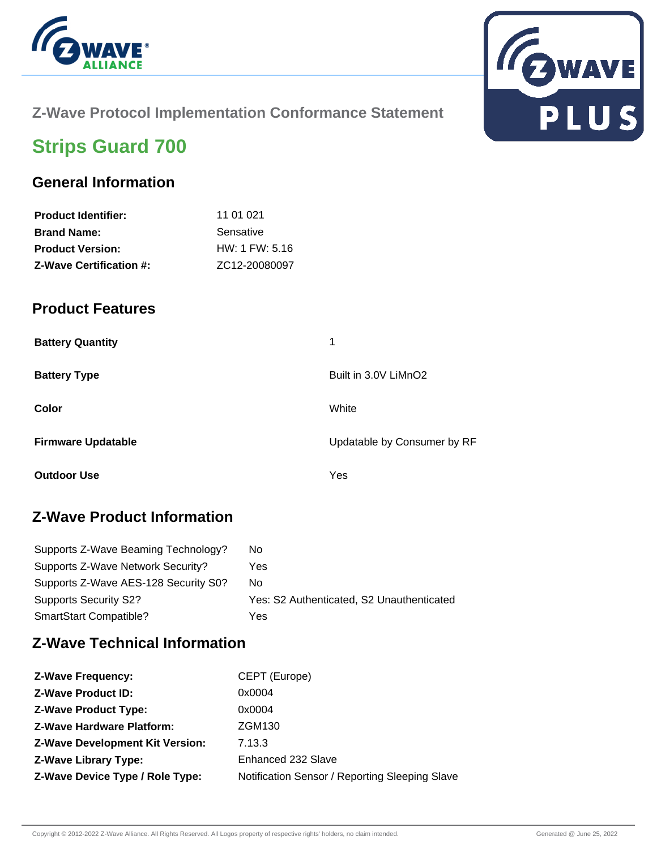



### **Z-Wave Protocol Implementation Conformance Statement**

# **Strips Guard 700**

### **General Information**

| 11 01 021        |
|------------------|
| Sensative        |
| $HW: 1$ FW: 5.16 |
| ZC12-20080097    |
|                  |

#### **Product Features**

| <b>Battery Quantity</b>   | 1                           |
|---------------------------|-----------------------------|
| <b>Battery Type</b>       | Built in 3.0V LiMnO2        |
| Color                     | White                       |
| <b>Firmware Updatable</b> | Updatable by Consumer by RF |
| <b>Outdoor Use</b>        | Yes                         |

## **Z-Wave Product Information**

| Supports Z-Wave Beaming Technology?  | No.                                       |
|--------------------------------------|-------------------------------------------|
| Supports Z-Wave Network Security?    | Yes                                       |
| Supports Z-Wave AES-128 Security S0? | No.                                       |
| <b>Supports Security S2?</b>         | Yes: S2 Authenticated, S2 Unauthenticated |
| SmartStart Compatible?               | Yes                                       |

### **Z-Wave Technical Information**

| <b>Z-Wave Frequency:</b>               | CEPT (Europe)                                  |
|----------------------------------------|------------------------------------------------|
| <b>Z-Wave Product ID:</b>              | 0x0004                                         |
| <b>Z-Wave Product Type:</b>            | 0x0004                                         |
| <b>Z-Wave Hardware Platform:</b>       | ZGM130                                         |
| <b>Z-Wave Development Kit Version:</b> | 7.13.3                                         |
| <b>Z-Wave Library Type:</b>            | Enhanced 232 Slave                             |
| Z-Wave Device Type / Role Type:        | Notification Sensor / Reporting Sleeping Slave |